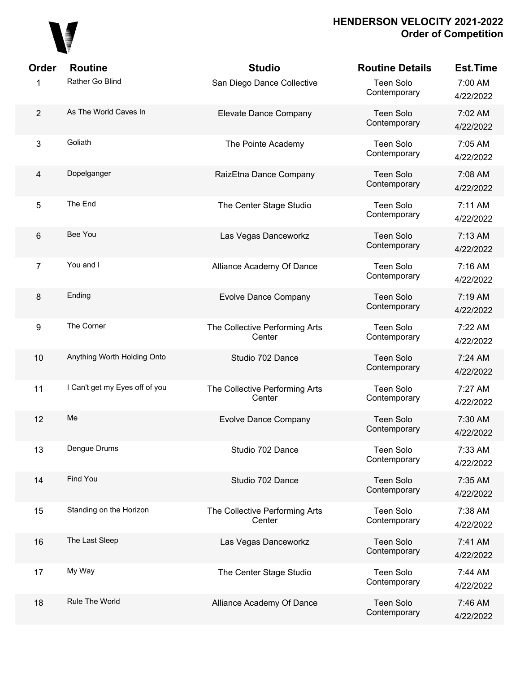

| <b>Order</b>   | <b>Routine</b>                 | <b>Studio</b>                            | <b>Routine Details</b>           | <b>Est.Time</b>      |
|----------------|--------------------------------|------------------------------------------|----------------------------------|----------------------|
| 1              | Rather Go Blind                | San Diego Dance Collective               | <b>Teen Solo</b><br>Contemporary | 7:00 AM<br>4/22/2022 |
| $\overline{2}$ | As The World Caves In          | Elevate Dance Company                    | <b>Teen Solo</b><br>Contemporary | 7:02 AM<br>4/22/2022 |
| 3              | Goliath                        | The Pointe Academy                       | <b>Teen Solo</b><br>Contemporary | 7:05 AM<br>4/22/2022 |
| $\overline{4}$ | Dopelganger                    | RaizEtna Dance Company                   | Teen Solo<br>Contemporary        | 7:08 AM<br>4/22/2022 |
| 5              | The End                        | The Center Stage Studio                  | <b>Teen Solo</b><br>Contemporary | 7:11 AM<br>4/22/2022 |
| 6              | Bee You                        | Las Vegas Danceworkz                     | <b>Teen Solo</b><br>Contemporary | 7:13 AM<br>4/22/2022 |
| $\overline{7}$ | You and I                      | Alliance Academy Of Dance                | <b>Teen Solo</b><br>Contemporary | 7:16 AM<br>4/22/2022 |
| 8              | Ending                         | <b>Evolve Dance Company</b>              | <b>Teen Solo</b><br>Contemporary | 7:19 AM<br>4/22/2022 |
| 9              | The Corner                     | The Collective Performing Arts<br>Center | <b>Teen Solo</b><br>Contemporary | 7:22 AM<br>4/22/2022 |
| 10             | Anything Worth Holding Onto    | Studio 702 Dance                         | <b>Teen Solo</b><br>Contemporary | 7:24 AM<br>4/22/2022 |
| 11             | I Can't get my Eyes off of you | The Collective Performing Arts<br>Center | <b>Teen Solo</b><br>Contemporary | 7:27 AM<br>4/22/2022 |
| 12             | Me                             | <b>Evolve Dance Company</b>              | <b>Teen Solo</b><br>Contemporary | 7:30 AM<br>4/22/2022 |
| 13             | Dengue Drums                   | Studio 702 Dance                         | <b>Teen Solo</b><br>Contemporary | 7:33 AM<br>4/22/2022 |
| 14             | Find You                       | Studio 702 Dance                         | <b>Teen Solo</b><br>Contemporary | 7:35 AM<br>4/22/2022 |
| 15             | Standing on the Horizon        | The Collective Performing Arts<br>Center | <b>Teen Solo</b><br>Contemporary | 7:38 AM<br>4/22/2022 |
| 16             | The Last Sleep                 | Las Vegas Danceworkz                     | <b>Teen Solo</b><br>Contemporary | 7:41 AM<br>4/22/2022 |
| 17             | My Way                         | The Center Stage Studio                  | <b>Teen Solo</b><br>Contemporary | 7:44 AM<br>4/22/2022 |
| 18             | Rule The World                 | Alliance Academy Of Dance                | <b>Teen Solo</b><br>Contemporary | 7:46 AM<br>4/22/2022 |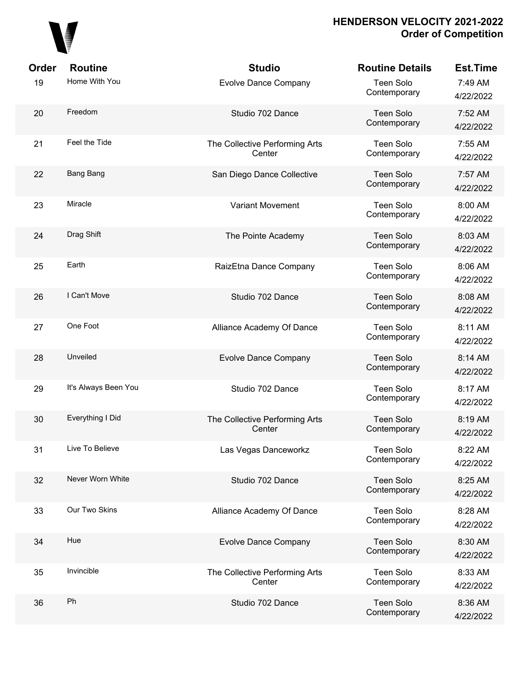

| Order | <b>Routine</b>       | <b>Studio</b>                            | <b>Routine Details</b>           | <b>Est.Time</b>      |
|-------|----------------------|------------------------------------------|----------------------------------|----------------------|
| 19    | Home With You        | <b>Evolve Dance Company</b>              | <b>Teen Solo</b><br>Contemporary | 7:49 AM<br>4/22/2022 |
| 20    | Freedom              | Studio 702 Dance                         | <b>Teen Solo</b><br>Contemporary | 7:52 AM<br>4/22/2022 |
| 21    | Feel the Tide        | The Collective Performing Arts<br>Center | <b>Teen Solo</b><br>Contemporary | 7:55 AM<br>4/22/2022 |
| 22    | Bang Bang            | San Diego Dance Collective               | <b>Teen Solo</b><br>Contemporary | 7:57 AM<br>4/22/2022 |
| 23    | Miracle              | <b>Variant Movement</b>                  | Teen Solo<br>Contemporary        | 8:00 AM<br>4/22/2022 |
| 24    | Drag Shift           | The Pointe Academy                       | <b>Teen Solo</b><br>Contemporary | 8:03 AM<br>4/22/2022 |
| 25    | Earth                | RaizEtna Dance Company                   | Teen Solo<br>Contemporary        | 8:06 AM<br>4/22/2022 |
| 26    | I Can't Move         | Studio 702 Dance                         | <b>Teen Solo</b><br>Contemporary | 8:08 AM<br>4/22/2022 |
| 27    | One Foot             | Alliance Academy Of Dance                | Teen Solo<br>Contemporary        | 8:11 AM<br>4/22/2022 |
| 28    | Unveiled             | <b>Evolve Dance Company</b>              | <b>Teen Solo</b><br>Contemporary | 8:14 AM<br>4/22/2022 |
| 29    | It's Always Been You | Studio 702 Dance                         | Teen Solo<br>Contemporary        | 8:17 AM<br>4/22/2022 |
| 30    | Everything I Did     | The Collective Performing Arts<br>Center | <b>Teen Solo</b><br>Contemporary | 8:19 AM<br>4/22/2022 |
| 31    | Live To Believe      | Las Vegas Danceworkz                     | Teen Solo<br>Contemporary        | 8:22 AM<br>4/22/2022 |
| 32    | Never Worn White     | Studio 702 Dance                         | <b>Teen Solo</b><br>Contemporary | 8:25 AM<br>4/22/2022 |
| 33    | Our Two Skins        | Alliance Academy Of Dance                | <b>Teen Solo</b><br>Contemporary | 8:28 AM<br>4/22/2022 |
| 34    | Hue                  | <b>Evolve Dance Company</b>              | <b>Teen Solo</b><br>Contemporary | 8:30 AM<br>4/22/2022 |
| 35    | Invincible           | The Collective Performing Arts<br>Center | <b>Teen Solo</b><br>Contemporary | 8:33 AM<br>4/22/2022 |
| 36    | Ph                   | Studio 702 Dance                         | <b>Teen Solo</b><br>Contemporary | 8:36 AM<br>4/22/2022 |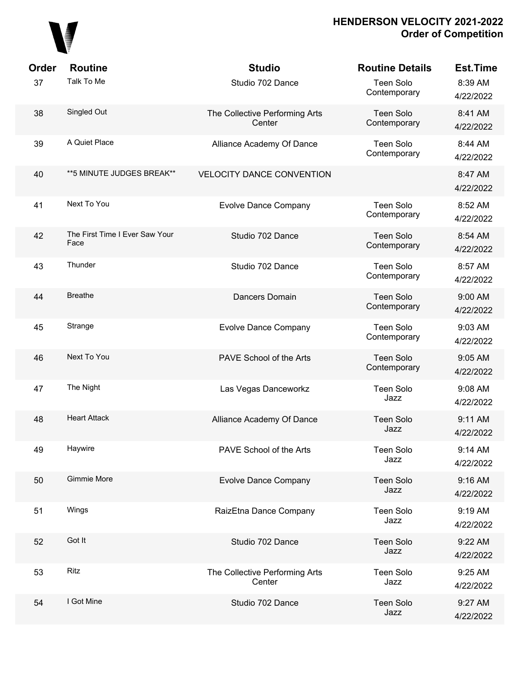

| Order | <b>Routine</b>                         | <b>Studio</b>                            | <b>Routine Details</b>           | <b>Est.Time</b>      |
|-------|----------------------------------------|------------------------------------------|----------------------------------|----------------------|
| 37    | Talk To Me                             | Studio 702 Dance                         | <b>Teen Solo</b><br>Contemporary | 8:39 AM<br>4/22/2022 |
| 38    | Singled Out                            | The Collective Performing Arts<br>Center | <b>Teen Solo</b><br>Contemporary | 8:41 AM<br>4/22/2022 |
| 39    | A Quiet Place                          | Alliance Academy Of Dance                | <b>Teen Solo</b><br>Contemporary | 8:44 AM<br>4/22/2022 |
| 40    | ** 5 MINUTE JUDGES BREAK**             | <b>VELOCITY DANCE CONVENTION</b>         |                                  | 8:47 AM<br>4/22/2022 |
| 41    | Next To You                            | <b>Evolve Dance Company</b>              | <b>Teen Solo</b><br>Contemporary | 8:52 AM<br>4/22/2022 |
| 42    | The First Time I Ever Saw Your<br>Face | Studio 702 Dance                         | <b>Teen Solo</b><br>Contemporary | 8:54 AM<br>4/22/2022 |
| 43    | Thunder                                | Studio 702 Dance                         | <b>Teen Solo</b><br>Contemporary | 8:57 AM<br>4/22/2022 |
| 44    | <b>Breathe</b>                         | Dancers Domain                           | <b>Teen Solo</b><br>Contemporary | 9:00 AM<br>4/22/2022 |
| 45    | Strange                                | <b>Evolve Dance Company</b>              | <b>Teen Solo</b><br>Contemporary | 9:03 AM<br>4/22/2022 |
| 46    | Next To You                            | PAVE School of the Arts                  | <b>Teen Solo</b><br>Contemporary | 9:05 AM<br>4/22/2022 |
| 47    | The Night                              | Las Vegas Danceworkz                     | <b>Teen Solo</b><br>Jazz         | 9:08 AM<br>4/22/2022 |
| 48    | <b>Heart Attack</b>                    | Alliance Academy Of Dance                | <b>Teen Solo</b><br>Jazz         | 9:11 AM<br>4/22/2022 |
| 49    | Haywire                                | PAVE School of the Arts                  | <b>Teen Solo</b><br>Jazz         | 9:14 AM<br>4/22/2022 |
| 50    | Gimmie More                            | <b>Evolve Dance Company</b>              | <b>Teen Solo</b><br>Jazz         | 9:16 AM<br>4/22/2022 |
| 51    | Wings                                  | RaizEtna Dance Company                   | <b>Teen Solo</b><br>Jazz         | 9:19 AM<br>4/22/2022 |
| 52    | Got It                                 | Studio 702 Dance                         | <b>Teen Solo</b><br>Jazz         | 9:22 AM<br>4/22/2022 |
| 53    | Ritz                                   | The Collective Performing Arts<br>Center | <b>Teen Solo</b><br>Jazz         | 9:25 AM<br>4/22/2022 |
| 54    | I Got Mine                             | Studio 702 Dance                         | <b>Teen Solo</b><br>Jazz         | 9:27 AM<br>4/22/2022 |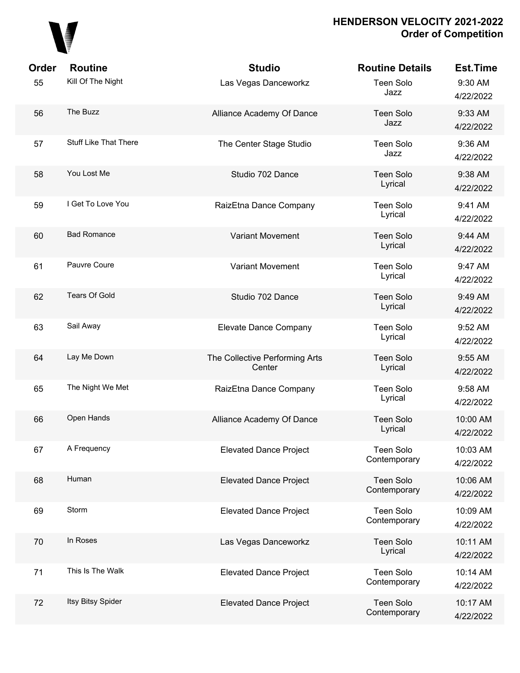

| <b>Order</b> | <b>Routine</b>        | <b>Studio</b>                            | <b>Routine Details</b>           | <b>Est.Time</b>       |
|--------------|-----------------------|------------------------------------------|----------------------------------|-----------------------|
| 55           | Kill Of The Night     | Las Vegas Danceworkz                     | <b>Teen Solo</b><br>Jazz         | 9:30 AM<br>4/22/2022  |
| 56           | The Buzz              | Alliance Academy Of Dance                | <b>Teen Solo</b><br>Jazz         | 9:33 AM<br>4/22/2022  |
| 57           | Stuff Like That There | The Center Stage Studio                  | <b>Teen Solo</b><br>Jazz         | 9:36 AM<br>4/22/2022  |
| 58           | You Lost Me           | Studio 702 Dance                         | <b>Teen Solo</b><br>Lyrical      | 9:38 AM<br>4/22/2022  |
| 59           | I Get To Love You     | RaizEtna Dance Company                   | <b>Teen Solo</b><br>Lyrical      | 9:41 AM<br>4/22/2022  |
| 60           | <b>Bad Romance</b>    | <b>Variant Movement</b>                  | <b>Teen Solo</b><br>Lyrical      | 9:44 AM<br>4/22/2022  |
| 61           | Pauvre Coure          | <b>Variant Movement</b>                  | <b>Teen Solo</b><br>Lyrical      | 9:47 AM<br>4/22/2022  |
| 62           | <b>Tears Of Gold</b>  | Studio 702 Dance                         | <b>Teen Solo</b><br>Lyrical      | 9:49 AM<br>4/22/2022  |
| 63           | Sail Away             | Elevate Dance Company                    | <b>Teen Solo</b><br>Lyrical      | 9:52 AM<br>4/22/2022  |
| 64           | Lay Me Down           | The Collective Performing Arts<br>Center | <b>Teen Solo</b><br>Lyrical      | 9:55 AM<br>4/22/2022  |
| 65           | The Night We Met      | RaizEtna Dance Company                   | <b>Teen Solo</b><br>Lyrical      | 9:58 AM<br>4/22/2022  |
| 66           | Open Hands            | Alliance Academy Of Dance                | <b>Teen Solo</b><br>Lyrical      | 10:00 AM<br>4/22/2022 |
| 67           | A Frequency           | <b>Elevated Dance Project</b>            | <b>Teen Solo</b><br>Contemporary | 10:03 AM<br>4/22/2022 |
| 68           | Human                 | <b>Elevated Dance Project</b>            | <b>Teen Solo</b><br>Contemporary | 10:06 AM<br>4/22/2022 |
| 69           | Storm                 | <b>Elevated Dance Project</b>            | <b>Teen Solo</b><br>Contemporary | 10:09 AM<br>4/22/2022 |
| 70           | In Roses              | Las Vegas Danceworkz                     | <b>Teen Solo</b><br>Lyrical      | 10:11 AM<br>4/22/2022 |
| 71           | This Is The Walk      | <b>Elevated Dance Project</b>            | <b>Teen Solo</b><br>Contemporary | 10:14 AM<br>4/22/2022 |
| 72           | Itsy Bitsy Spider     | <b>Elevated Dance Project</b>            | <b>Teen Solo</b><br>Contemporary | 10:17 AM<br>4/22/2022 |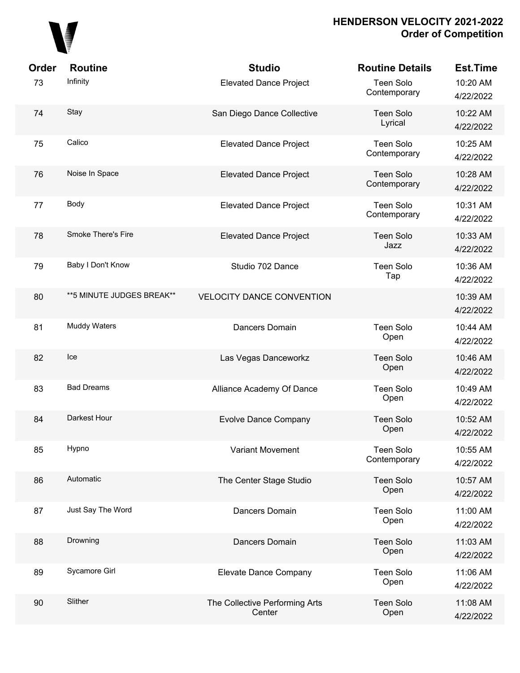

| <b>Order</b> | <b>Routine</b>             | <b>Studio</b>                            | <b>Routine Details</b>           | <b>Est.Time</b>       |
|--------------|----------------------------|------------------------------------------|----------------------------------|-----------------------|
| 73           | Infinity                   | <b>Elevated Dance Project</b>            | Teen Solo<br>Contemporary        | 10:20 AM<br>4/22/2022 |
| 74           | Stay                       | San Diego Dance Collective               | <b>Teen Solo</b><br>Lyrical      | 10:22 AM<br>4/22/2022 |
| 75           | Calico                     | <b>Elevated Dance Project</b>            | Teen Solo<br>Contemporary        | 10:25 AM<br>4/22/2022 |
| 76           | Noise In Space             | <b>Elevated Dance Project</b>            | <b>Teen Solo</b><br>Contemporary | 10:28 AM<br>4/22/2022 |
| 77           | Body                       | <b>Elevated Dance Project</b>            | Teen Solo<br>Contemporary        | 10:31 AM<br>4/22/2022 |
| 78           | <b>Smoke There's Fire</b>  | <b>Elevated Dance Project</b>            | <b>Teen Solo</b><br>Jazz         | 10:33 AM<br>4/22/2022 |
| 79           | Baby I Don't Know          | Studio 702 Dance                         | Teen Solo<br>Tap                 | 10:36 AM<br>4/22/2022 |
| 80           | ** 5 MINUTE JUDGES BREAK** | <b>VELOCITY DANCE CONVENTION</b>         |                                  | 10:39 AM<br>4/22/2022 |
| 81           | Muddy Waters               | Dancers Domain                           | Teen Solo<br>Open                | 10:44 AM<br>4/22/2022 |
| 82           | Ice                        | Las Vegas Danceworkz                     | <b>Teen Solo</b><br>Open         | 10:46 AM<br>4/22/2022 |
| 83           | <b>Bad Dreams</b>          | Alliance Academy Of Dance                | Teen Solo<br>Open                | 10:49 AM<br>4/22/2022 |
| 84           | Darkest Hour               | <b>Evolve Dance Company</b>              | <b>Teen Solo</b><br>Open         | 10:52 AM<br>4/22/2022 |
| 85           | Hypno                      | <b>Variant Movement</b>                  | <b>Teen Solo</b><br>Contemporary | 10:55 AM<br>4/22/2022 |
| 86           | Automatic                  | The Center Stage Studio                  | Teen Solo<br>Open                | 10:57 AM<br>4/22/2022 |
| 87           | Just Say The Word          | Dancers Domain                           | Teen Solo<br>Open                | 11:00 AM<br>4/22/2022 |
| 88           | Drowning                   | Dancers Domain                           | Teen Solo<br>Open                | 11:03 AM<br>4/22/2022 |
| 89           | Sycamore Girl              | Elevate Dance Company                    | <b>Teen Solo</b><br>Open         | 11:06 AM<br>4/22/2022 |
| 90           | Slither                    | The Collective Performing Arts<br>Center | Teen Solo<br>Open                | 11:08 AM<br>4/22/2022 |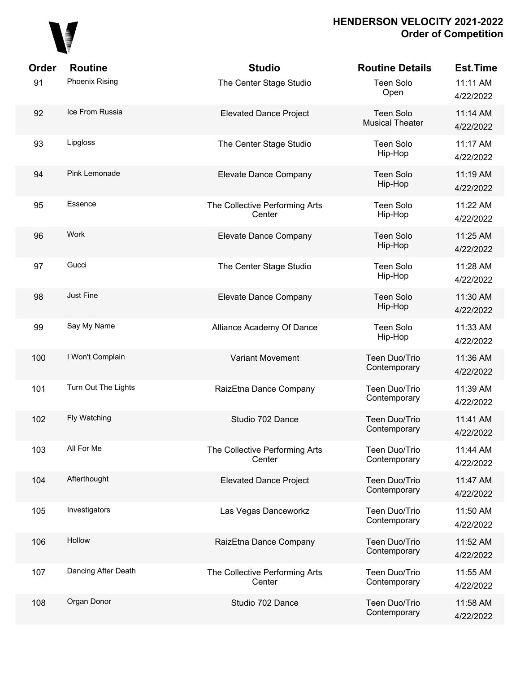

| Order | <b>Routine</b>        | <b>Studio</b>                            | <b>Routine Details</b>                     | <b>Est.Time</b>       |
|-------|-----------------------|------------------------------------------|--------------------------------------------|-----------------------|
| 91    | <b>Phoenix Rising</b> | The Center Stage Studio                  | <b>Teen Solo</b><br>Open                   | 11:11 AM<br>4/22/2022 |
| 92    | Ice From Russia       | <b>Elevated Dance Project</b>            | <b>Teen Solo</b><br><b>Musical Theater</b> | 11:14 AM<br>4/22/2022 |
| 93    | Lipgloss              | The Center Stage Studio                  | <b>Teen Solo</b><br>Hip-Hop                | 11:17 AM<br>4/22/2022 |
| 94    | Pink Lemonade         | Elevate Dance Company                    | <b>Teen Solo</b><br>Hip-Hop                | 11:19 AM<br>4/22/2022 |
| 95    | Essence               | The Collective Performing Arts<br>Center | <b>Teen Solo</b><br>Hip-Hop                | 11:22 AM<br>4/22/2022 |
| 96    | Work                  | Elevate Dance Company                    | <b>Teen Solo</b><br>Hip-Hop                | 11:25 AM<br>4/22/2022 |
| 97    | Gucci                 | The Center Stage Studio                  | <b>Teen Solo</b><br>Hip-Hop                | 11:28 AM<br>4/22/2022 |
| 98    | Just Fine             | Elevate Dance Company                    | <b>Teen Solo</b><br>Hip-Hop                | 11:30 AM<br>4/22/2022 |
| 99    | Say My Name           | Alliance Academy Of Dance                | <b>Teen Solo</b><br>Hip-Hop                | 11:33 AM<br>4/22/2022 |
| 100   | I Won't Complain      | <b>Variant Movement</b>                  | Teen Duo/Trio<br>Contemporary              | 11:36 AM<br>4/22/2022 |
| 101   | Turn Out The Lights   | RaizEtna Dance Company                   | Teen Duo/Trio<br>Contemporary              | 11:39 AM<br>4/22/2022 |
| 102   | Fly Watching          | Studio 702 Dance                         | Teen Duo/Trio<br>Contemporary              | 11:41 AM<br>4/22/2022 |
| 103   | All For Me            | The Collective Performing Arts<br>Center | Teen Duo/Trio<br>Contemporary              | 11:44 AM<br>4/22/2022 |
| 104   | Afterthought          | <b>Elevated Dance Project</b>            | Teen Duo/Trio<br>Contemporary              | 11:47 AM<br>4/22/2022 |
| 105   | Investigators         | Las Vegas Danceworkz                     | Teen Duo/Trio<br>Contemporary              | 11:50 AM<br>4/22/2022 |
| 106   | Hollow                | RaizEtna Dance Company                   | Teen Duo/Trio<br>Contemporary              | 11:52 AM<br>4/22/2022 |
| 107   | Dancing After Death   | The Collective Performing Arts<br>Center | Teen Duo/Trio<br>Contemporary              | 11:55 AM<br>4/22/2022 |
| 108   | Organ Donor           | Studio 702 Dance                         | Teen Duo/Trio<br>Contemporary              | 11:58 AM<br>4/22/2022 |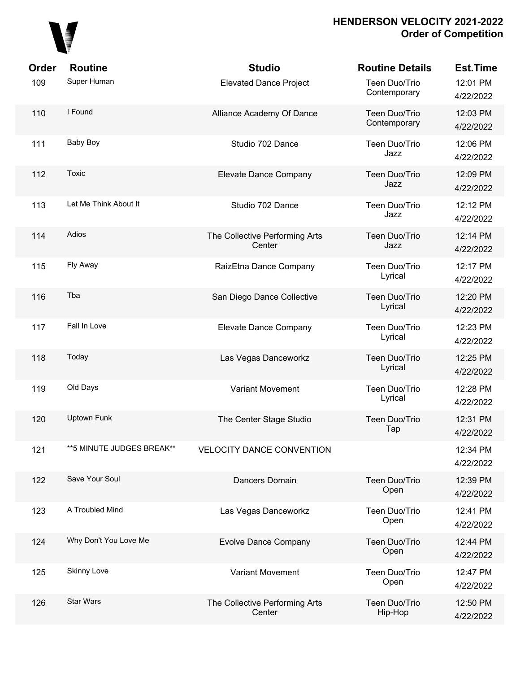

| <b>Order</b> | <b>Routine</b>            | <b>Studio</b>                            | <b>Routine Details</b>        | <b>Est.Time</b>       |
|--------------|---------------------------|------------------------------------------|-------------------------------|-----------------------|
| 109          | Super Human               | <b>Elevated Dance Project</b>            | Teen Duo/Trio<br>Contemporary | 12:01 PM<br>4/22/2022 |
| 110          | I Found                   | Alliance Academy Of Dance                | Teen Duo/Trio<br>Contemporary | 12:03 PM<br>4/22/2022 |
| 111          | Baby Boy                  | Studio 702 Dance                         | Teen Duo/Trio<br>Jazz         | 12:06 PM<br>4/22/2022 |
| 112          | Toxic                     | Elevate Dance Company                    | Teen Duo/Trio<br>Jazz         | 12:09 PM<br>4/22/2022 |
| 113          | Let Me Think About It     | Studio 702 Dance                         | Teen Duo/Trio<br>Jazz         | 12:12 PM<br>4/22/2022 |
| 114          | Adios                     | The Collective Performing Arts<br>Center | Teen Duo/Trio<br>Jazz         | 12:14 PM<br>4/22/2022 |
| 115          | Fly Away                  | RaizEtna Dance Company                   | Teen Duo/Trio<br>Lyrical      | 12:17 PM<br>4/22/2022 |
| 116          | Tba                       | San Diego Dance Collective               | Teen Duo/Trio<br>Lyrical      | 12:20 PM<br>4/22/2022 |
| 117          | Fall In Love              | Elevate Dance Company                    | Teen Duo/Trio<br>Lyrical      | 12:23 PM<br>4/22/2022 |
| 118          | Today                     | Las Vegas Danceworkz                     | Teen Duo/Trio<br>Lyrical      | 12:25 PM<br>4/22/2022 |
| 119          | Old Days                  | <b>Variant Movement</b>                  | Teen Duo/Trio<br>Lyrical      | 12:28 PM<br>4/22/2022 |
| 120          | <b>Uptown Funk</b>        | The Center Stage Studio                  | Teen Duo/Trio<br>Tap          | 12:31 PM<br>4/22/2022 |
| 121          | **5 MINUTE JUDGES BREAK** | <b>VELOCITY DANCE CONVENTION</b>         |                               | 12:34 PM<br>4/22/2022 |
| 122          | Save Your Soul            | Dancers Domain                           | Teen Duo/Trio<br>Open         | 12:39 PM<br>4/22/2022 |
| 123          | A Troubled Mind           | Las Vegas Danceworkz                     | Teen Duo/Trio<br>Open         | 12:41 PM<br>4/22/2022 |
| 124          | Why Don't You Love Me     | <b>Evolve Dance Company</b>              | Teen Duo/Trio<br>Open         | 12:44 PM<br>4/22/2022 |
| 125          | <b>Skinny Love</b>        | <b>Variant Movement</b>                  | Teen Duo/Trio<br>Open         | 12:47 PM<br>4/22/2022 |
| 126          | <b>Star Wars</b>          | The Collective Performing Arts<br>Center | Teen Duo/Trio<br>Hip-Hop      | 12:50 PM<br>4/22/2022 |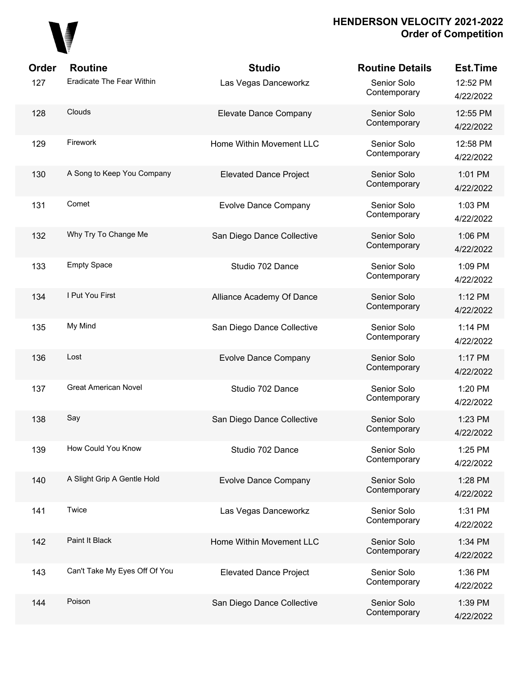

| <b>Order</b> | <b>Routine</b>                | <b>Studio</b>                 | <b>Routine Details</b>      | <b>Est.Time</b>       |
|--------------|-------------------------------|-------------------------------|-----------------------------|-----------------------|
| 127          | Eradicate The Fear Within     | Las Vegas Danceworkz          | Senior Solo<br>Contemporary | 12:52 PM<br>4/22/2022 |
| 128          | Clouds                        | Elevate Dance Company         | Senior Solo<br>Contemporary | 12:55 PM<br>4/22/2022 |
| 129          | Firework                      | Home Within Movement LLC      | Senior Solo<br>Contemporary | 12:58 PM<br>4/22/2022 |
| 130          | A Song to Keep You Company    | <b>Elevated Dance Project</b> | Senior Solo<br>Contemporary | 1:01 PM<br>4/22/2022  |
| 131          | Comet                         | <b>Evolve Dance Company</b>   | Senior Solo<br>Contemporary | 1:03 PM<br>4/22/2022  |
| 132          | Why Try To Change Me          | San Diego Dance Collective    | Senior Solo<br>Contemporary | 1:06 PM<br>4/22/2022  |
| 133          | <b>Empty Space</b>            | Studio 702 Dance              | Senior Solo<br>Contemporary | 1:09 PM<br>4/22/2022  |
| 134          | I Put You First               | Alliance Academy Of Dance     | Senior Solo<br>Contemporary | 1:12 PM<br>4/22/2022  |
| 135          | My Mind                       | San Diego Dance Collective    | Senior Solo<br>Contemporary | 1:14 PM<br>4/22/2022  |
| 136          | Lost                          | <b>Evolve Dance Company</b>   | Senior Solo<br>Contemporary | 1:17 PM<br>4/22/2022  |
| 137          | <b>Great American Novel</b>   | Studio 702 Dance              | Senior Solo<br>Contemporary | 1:20 PM<br>4/22/2022  |
| 138          | Say                           | San Diego Dance Collective    | Senior Solo<br>Contemporary | 1:23 PM<br>4/22/2022  |
| 139          | How Could You Know            | Studio 702 Dance              | Senior Solo<br>Contemporary | 1:25 PM<br>4/22/2022  |
| 140          | A Slight Grip A Gentle Hold   | <b>Evolve Dance Company</b>   | Senior Solo<br>Contemporary | 1:28 PM<br>4/22/2022  |
| 141          | Twice                         | Las Vegas Danceworkz          | Senior Solo<br>Contemporary | 1:31 PM<br>4/22/2022  |
| 142          | Paint It Black                | Home Within Movement LLC      | Senior Solo<br>Contemporary | 1:34 PM<br>4/22/2022  |
| 143          | Can't Take My Eyes Off Of You | <b>Elevated Dance Project</b> | Senior Solo<br>Contemporary | 1:36 PM<br>4/22/2022  |
| 144          | Poison                        | San Diego Dance Collective    | Senior Solo<br>Contemporary | 1:39 PM<br>4/22/2022  |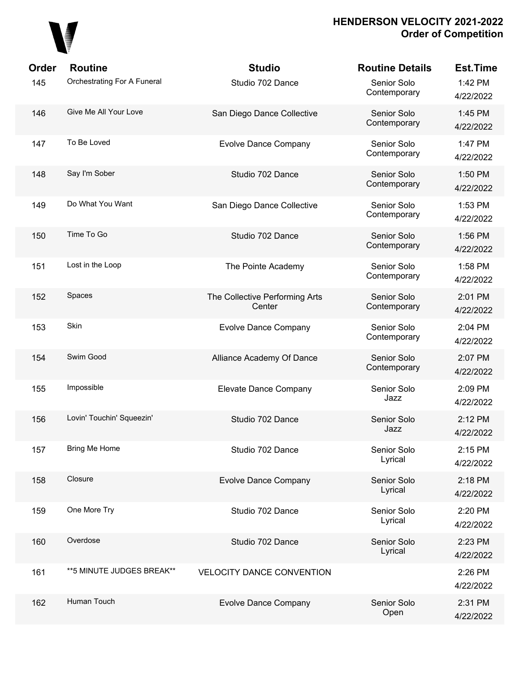

| <b>Order</b> | <b>Routine</b>              | <b>Studio</b>                            | <b>Routine Details</b>      | <b>Est.Time</b>      |
|--------------|-----------------------------|------------------------------------------|-----------------------------|----------------------|
| 145          | Orchestrating For A Funeral | Studio 702 Dance                         | Senior Solo<br>Contemporary | 1:42 PM<br>4/22/2022 |
| 146          | Give Me All Your Love       | San Diego Dance Collective               | Senior Solo<br>Contemporary | 1:45 PM<br>4/22/2022 |
| 147          | To Be Loved                 | <b>Evolve Dance Company</b>              | Senior Solo<br>Contemporary | 1:47 PM<br>4/22/2022 |
| 148          | Say I'm Sober               | Studio 702 Dance                         | Senior Solo<br>Contemporary | 1:50 PM<br>4/22/2022 |
| 149          | Do What You Want            | San Diego Dance Collective               | Senior Solo<br>Contemporary | 1:53 PM<br>4/22/2022 |
| 150          | Time To Go                  | Studio 702 Dance                         | Senior Solo<br>Contemporary | 1:56 PM<br>4/22/2022 |
| 151          | Lost in the Loop            | The Pointe Academy                       | Senior Solo<br>Contemporary | 1:58 PM<br>4/22/2022 |
| 152          | Spaces                      | The Collective Performing Arts<br>Center | Senior Solo<br>Contemporary | 2:01 PM<br>4/22/2022 |
| 153          | Skin                        | <b>Evolve Dance Company</b>              | Senior Solo<br>Contemporary | 2:04 PM<br>4/22/2022 |
| 154          | Swim Good                   | Alliance Academy Of Dance                | Senior Solo<br>Contemporary | 2:07 PM<br>4/22/2022 |
| 155          | Impossible                  | Elevate Dance Company                    | Senior Solo<br>Jazz         | 2:09 PM<br>4/22/2022 |
| 156          | Lovin' Touchin' Squeezin'   | Studio 702 Dance                         | Senior Solo<br>Jazz         | 2:12 PM<br>4/22/2022 |
| 157          | Bring Me Home               | Studio 702 Dance                         | Senior Solo<br>Lyrical      | 2:15 PM<br>4/22/2022 |
| 158          | Closure                     | <b>Evolve Dance Company</b>              | Senior Solo<br>Lyrical      | 2:18 PM<br>4/22/2022 |
| 159          | One More Try                | Studio 702 Dance                         | Senior Solo<br>Lyrical      | 2:20 PM<br>4/22/2022 |
| 160          | Overdose                    | Studio 702 Dance                         | Senior Solo<br>Lyrical      | 2:23 PM<br>4/22/2022 |
| 161          | **5 MINUTE JUDGES BREAK**   | <b>VELOCITY DANCE CONVENTION</b>         |                             | 2:26 PM<br>4/22/2022 |
| 162          | Human Touch                 | <b>Evolve Dance Company</b>              | Senior Solo<br>Open         | 2:31 PM<br>4/22/2022 |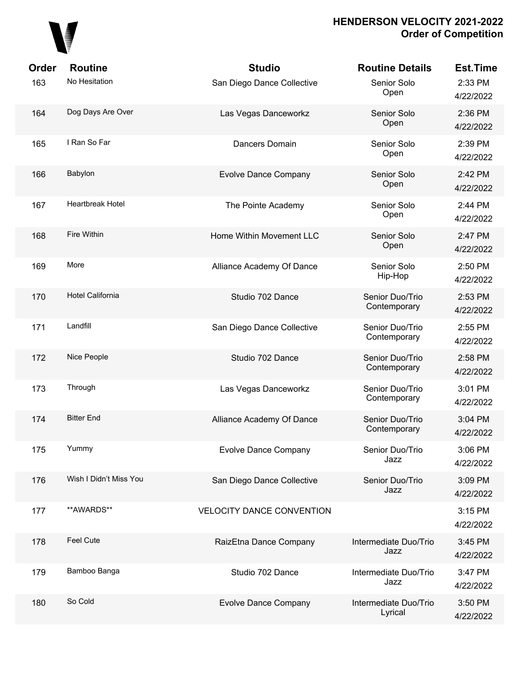

| <b>Order</b> | <b>Routine</b>          | <b>Studio</b>                    | <b>Routine Details</b>           | <b>Est.Time</b>      |
|--------------|-------------------------|----------------------------------|----------------------------------|----------------------|
| 163          | No Hesitation           | San Diego Dance Collective       | Senior Solo<br>Open              | 2:33 PM<br>4/22/2022 |
| 164          | Dog Days Are Over       | Las Vegas Danceworkz             | Senior Solo<br>Open              | 2:36 PM<br>4/22/2022 |
| 165          | I Ran So Far            | Dancers Domain                   | Senior Solo<br>Open              | 2:39 PM<br>4/22/2022 |
| 166          | Babylon                 | <b>Evolve Dance Company</b>      | Senior Solo<br>Open              | 2:42 PM<br>4/22/2022 |
| 167          | <b>Heartbreak Hotel</b> | The Pointe Academy               | Senior Solo<br>Open              | 2:44 PM<br>4/22/2022 |
| 168          | Fire Within             | Home Within Movement LLC         | Senior Solo<br>Open              | 2:47 PM<br>4/22/2022 |
| 169          | More                    | Alliance Academy Of Dance        | Senior Solo<br>Hip-Hop           | 2:50 PM<br>4/22/2022 |
| 170          | <b>Hotel California</b> | Studio 702 Dance                 | Senior Duo/Trio<br>Contemporary  | 2:53 PM<br>4/22/2022 |
| 171          | Landfill                | San Diego Dance Collective       | Senior Duo/Trio<br>Contemporary  | 2:55 PM<br>4/22/2022 |
| 172          | Nice People             | Studio 702 Dance                 | Senior Duo/Trio<br>Contemporary  | 2:58 PM<br>4/22/2022 |
| 173          | Through                 | Las Vegas Danceworkz             | Senior Duo/Trio<br>Contemporary  | 3:01 PM<br>4/22/2022 |
| 174          | <b>Bitter End</b>       | Alliance Academy Of Dance        | Senior Duo/Trio<br>Contemporary  | 3:04 PM<br>4/22/2022 |
| 175          | Yummy                   | <b>Evolve Dance Company</b>      | Senior Duo/Trio<br>Jazz          | 3:06 PM<br>4/22/2022 |
| 176          | Wish I Didn't Miss You  | San Diego Dance Collective       | Senior Duo/Trio<br>Jazz          | 3:09 PM<br>4/22/2022 |
| 177          | **AWARDS**              | <b>VELOCITY DANCE CONVENTION</b> |                                  | 3:15 PM<br>4/22/2022 |
| 178          | Feel Cute               | RaizEtna Dance Company           | Intermediate Duo/Trio<br>Jazz    | 3:45 PM<br>4/22/2022 |
| 179          | Bamboo Banga            | Studio 702 Dance                 | Intermediate Duo/Trio<br>Jazz    | 3:47 PM<br>4/22/2022 |
| 180          | So Cold                 | <b>Evolve Dance Company</b>      | Intermediate Duo/Trio<br>Lyrical | 3:50 PM<br>4/22/2022 |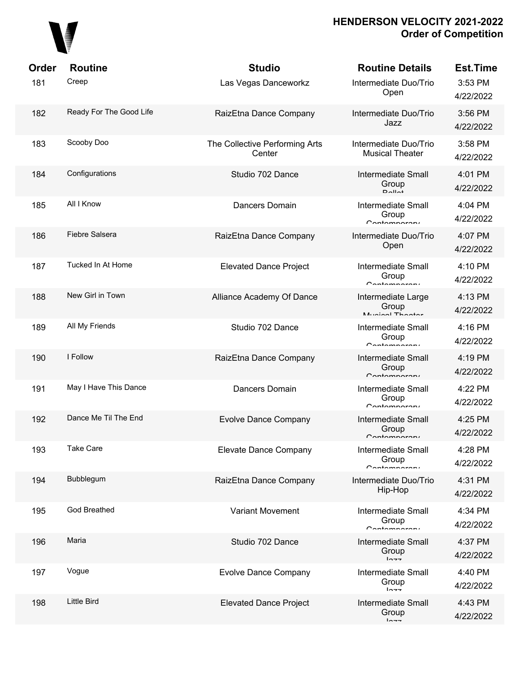

| Order | <b>Routine</b>          | <b>Studio</b>                            | <b>Routine Details</b>                                | <b>Est.Time</b>      |
|-------|-------------------------|------------------------------------------|-------------------------------------------------------|----------------------|
| 181   | Creep                   | Las Vegas Danceworkz                     | Intermediate Duo/Trio<br>Open                         | 3:53 PM<br>4/22/2022 |
| 182   | Ready For The Good Life | RaizEtna Dance Company                   | Intermediate Duo/Trio<br>Jazz                         | 3:56 PM<br>4/22/2022 |
| 183   | Scooby Doo              | The Collective Performing Arts<br>Center | Intermediate Duo/Trio<br><b>Musical Theater</b>       | 3:58 PM<br>4/22/2022 |
| 184   | Configurations          | Studio 702 Dance                         | <b>Intermediate Small</b><br>Group<br>$D$ $Al$ $A$    | 4:01 PM<br>4/22/2022 |
| 185   | All I Know              | Dancers Domain                           | <b>Intermediate Small</b><br>Group<br>Contamparary    | 4:04 PM<br>4/22/2022 |
| 186   | Fiebre Salsera          | RaizEtna Dance Company                   | Intermediate Duo/Trio<br>Open                         | 4:07 PM<br>4/22/2022 |
| 187   | Tucked In At Home       | <b>Elevated Dance Project</b>            | <b>Intermediate Small</b><br>Group<br>Contamparant    | 4:10 PM<br>4/22/2022 |
| 188   | New Girl in Town        | Alliance Academy Of Dance                | Intermediate Large<br>Group<br>Munical Theater        | 4:13 PM<br>4/22/2022 |
| 189   | All My Friends          | Studio 702 Dance                         | Intermediate Small<br>Group<br>Contamparary           | 4:16 PM<br>4/22/2022 |
| 190   | I Follow                | RaizEtna Dance Company                   | Intermediate Small<br>Group<br>Contamparary           | 4:19 PM<br>4/22/2022 |
| 191   | May I Have This Dance   | <b>Dancers Domain</b>                    | <b>Intermediate Small</b><br>Group<br>Contamparary    | 4:22 PM<br>4/22/2022 |
| 192   | Dance Me Til The End    | <b>Evolve Dance Company</b>              | <b>Intermediate Small</b><br>Group<br>Contamparanı    | 4:25 PM<br>4/22/2022 |
| 193   | <b>Take Care</b>        | Elevate Dance Company                    | <b>Intermediate Small</b><br>Group<br>Contamparary    | 4:28 PM<br>4/22/2022 |
| 194   | Bubblegum               | RaizEtna Dance Company                   | Intermediate Duo/Trio<br>Hip-Hop                      | 4:31 PM<br>4/22/2022 |
| 195   | <b>God Breathed</b>     | <b>Variant Movement</b>                  | <b>Intermediate Small</b><br>Group<br>$C$ ontomnoroni | 4:34 PM<br>4/22/2022 |
| 196   | Maria                   | Studio 702 Dance                         | <b>Intermediate Small</b><br>Group<br>$ln - -$        | 4:37 PM<br>4/22/2022 |
| 197   | Vogue                   | <b>Evolve Dance Company</b>              | <b>Intermediate Small</b><br>Group<br>$ln -$          | 4:40 PM<br>4/22/2022 |
| 198   | <b>Little Bird</b>      | <b>Elevated Dance Project</b>            | <b>Intermediate Small</b><br>Group<br>$ln -$          | 4:43 PM<br>4/22/2022 |
|       |                         |                                          |                                                       |                      |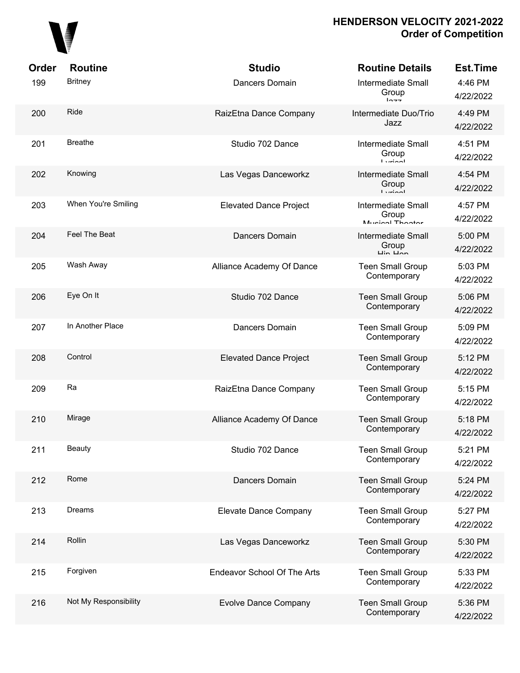

| Order | <b>Routine</b>        | <b>Studio</b>                      | <b>Routine Details</b>                                                 | <b>Est.Time</b>      |
|-------|-----------------------|------------------------------------|------------------------------------------------------------------------|----------------------|
| 199   | <b>Britney</b>        | Dancers Domain                     | <b>Intermediate Small</b><br>Group<br>10.77                            | 4:46 PM<br>4/22/2022 |
| 200   | Ride                  | RaizEtna Dance Company             | Intermediate Duo/Trio<br>Jazz                                          | 4:49 PM<br>4/22/2022 |
| 201   | <b>Breathe</b>        | Studio 702 Dance                   | <b>Intermediate Small</b><br>Group<br>$l$ vriant                       | 4:51 PM<br>4/22/2022 |
| 202   | Knowing               | Las Vegas Danceworkz               | <b>Intermediate Small</b><br>Group<br>$l$ <i>simposity</i>             | 4:54 PM<br>4/22/2022 |
| 203   | When You're Smiling   | <b>Elevated Dance Project</b>      | <b>Intermediate Small</b><br>Group<br>Munical Thootar                  | 4:57 PM<br>4/22/2022 |
| 204   | Feel The Beat         | Dancers Domain                     | <b>Intermediate Small</b><br>Group<br>$\overline{u}$ in $\overline{u}$ | 5:00 PM<br>4/22/2022 |
| 205   | Wash Away             | Alliance Academy Of Dance          | <b>Teen Small Group</b><br>Contemporary                                | 5:03 PM<br>4/22/2022 |
| 206   | Eye On It             | Studio 702 Dance                   | <b>Teen Small Group</b><br>Contemporary                                | 5:06 PM<br>4/22/2022 |
| 207   | In Another Place      | Dancers Domain                     | <b>Teen Small Group</b><br>Contemporary                                | 5:09 PM<br>4/22/2022 |
| 208   | Control               | <b>Elevated Dance Project</b>      | <b>Teen Small Group</b><br>Contemporary                                | 5:12 PM<br>4/22/2022 |
| 209   | Ra                    | RaizEtna Dance Company             | <b>Teen Small Group</b><br>Contemporary                                | 5:15 PM<br>4/22/2022 |
| 210   | Mirage                | Alliance Academy Of Dance          | <b>Teen Small Group</b><br>Contemporary                                | 5:18 PM<br>4/22/2022 |
| 211   | <b>Beauty</b>         | Studio 702 Dance                   | <b>Teen Small Group</b><br>Contemporary                                | 5:21 PM<br>4/22/2022 |
| 212   | Rome                  | Dancers Domain                     | <b>Teen Small Group</b><br>Contemporary                                | 5:24 PM<br>4/22/2022 |
| 213   | Dreams                | Elevate Dance Company              | <b>Teen Small Group</b><br>Contemporary                                | 5:27 PM<br>4/22/2022 |
| 214   | Rollin                | Las Vegas Danceworkz               | <b>Teen Small Group</b><br>Contemporary                                | 5:30 PM<br>4/22/2022 |
| 215   | Forgiven              | <b>Endeavor School Of The Arts</b> | <b>Teen Small Group</b><br>Contemporary                                | 5:33 PM<br>4/22/2022 |
| 216   | Not My Responsibility | <b>Evolve Dance Company</b>        | <b>Teen Small Group</b><br>Contemporary                                | 5:36 PM<br>4/22/2022 |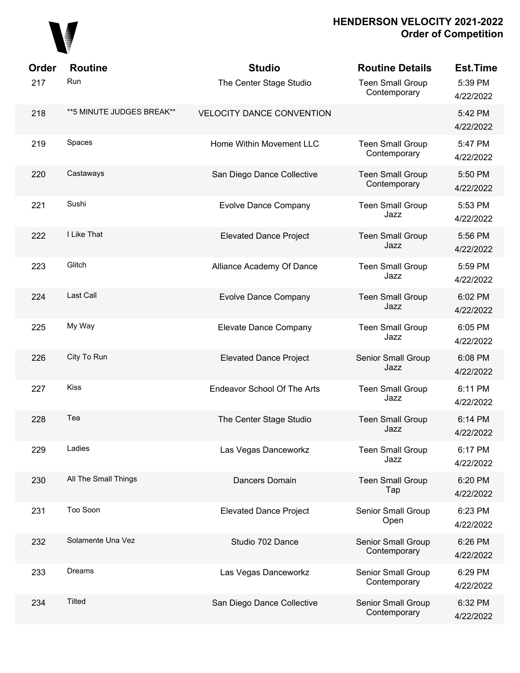

| Order | <b>Routine</b>             | <b>Studio</b>                    | <b>Routine Details</b>                  | <b>Est.Time</b>      |
|-------|----------------------------|----------------------------------|-----------------------------------------|----------------------|
| 217   | Run                        | The Center Stage Studio          | <b>Teen Small Group</b><br>Contemporary | 5:39 PM<br>4/22/2022 |
| 218   | ** 5 MINUTE JUDGES BREAK** | <b>VELOCITY DANCE CONVENTION</b> |                                         | 5:42 PM<br>4/22/2022 |
| 219   | Spaces                     | Home Within Movement LLC         | <b>Teen Small Group</b><br>Contemporary | 5:47 PM<br>4/22/2022 |
| 220   | Castaways                  | San Diego Dance Collective       | <b>Teen Small Group</b><br>Contemporary | 5:50 PM<br>4/22/2022 |
| 221   | Sushi                      | <b>Evolve Dance Company</b>      | <b>Teen Small Group</b><br>Jazz         | 5:53 PM<br>4/22/2022 |
| 222   | I Like That                | <b>Elevated Dance Project</b>    | <b>Teen Small Group</b><br>Jazz         | 5:56 PM<br>4/22/2022 |
| 223   | Glitch                     | Alliance Academy Of Dance        | <b>Teen Small Group</b><br>Jazz         | 5:59 PM<br>4/22/2022 |
| 224   | Last Call                  | <b>Evolve Dance Company</b>      | <b>Teen Small Group</b><br>Jazz         | 6:02 PM<br>4/22/2022 |
| 225   | My Way                     | Elevate Dance Company            | <b>Teen Small Group</b><br>Jazz         | 6:05 PM<br>4/22/2022 |
| 226   | City To Run                | <b>Elevated Dance Project</b>    | Senior Small Group<br>Jazz              | 6:08 PM<br>4/22/2022 |
| 227   | <b>Kiss</b>                | Endeavor School Of The Arts      | <b>Teen Small Group</b><br>Jazz         | 6:11 PM<br>4/22/2022 |
| 228   | Tea                        | The Center Stage Studio          | <b>Teen Small Group</b><br>Jazz         | 6:14 PM<br>4/22/2022 |
| 229   | Ladies                     | Las Vegas Danceworkz             | <b>Teen Small Group</b><br>Jazz         | 6:17 PM<br>4/22/2022 |
| 230   | All The Small Things       | Dancers Domain                   | <b>Teen Small Group</b><br>Tap          | 6:20 PM<br>4/22/2022 |
| 231   | Too Soon                   | <b>Elevated Dance Project</b>    | Senior Small Group<br>Open              | 6:23 PM<br>4/22/2022 |
| 232   | Solamente Una Vez          | Studio 702 Dance                 | Senior Small Group<br>Contemporary      | 6:26 PM<br>4/22/2022 |
| 233   | Dreams                     | Las Vegas Danceworkz             | Senior Small Group<br>Contemporary      | 6:29 PM<br>4/22/2022 |
| 234   | <b>Tilted</b>              | San Diego Dance Collective       | Senior Small Group<br>Contemporary      | 6:32 PM<br>4/22/2022 |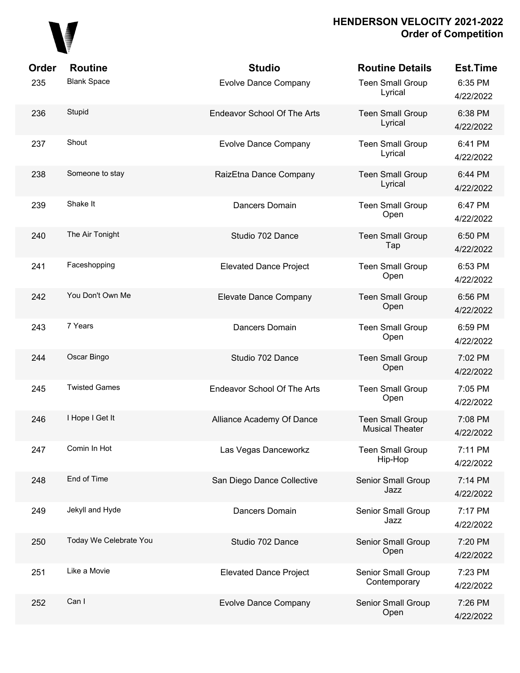

| Order | <b>Routine</b>         | <b>Studio</b>                      | <b>Routine Details</b>                            | <b>Est.Time</b>      |
|-------|------------------------|------------------------------------|---------------------------------------------------|----------------------|
| 235   | <b>Blank Space</b>     | <b>Evolve Dance Company</b>        | <b>Teen Small Group</b><br>Lyrical                | 6:35 PM<br>4/22/2022 |
| 236   | Stupid                 | <b>Endeavor School Of The Arts</b> | <b>Teen Small Group</b><br>Lyrical                | 6:38 PM<br>4/22/2022 |
| 237   | Shout                  | <b>Evolve Dance Company</b>        | <b>Teen Small Group</b><br>Lyrical                | 6:41 PM<br>4/22/2022 |
| 238   | Someone to stay        | RaizEtna Dance Company             | <b>Teen Small Group</b><br>Lyrical                | 6:44 PM<br>4/22/2022 |
| 239   | Shake It               | Dancers Domain                     | <b>Teen Small Group</b><br>Open                   | 6:47 PM<br>4/22/2022 |
| 240   | The Air Tonight        | Studio 702 Dance                   | <b>Teen Small Group</b><br>Tap                    | 6:50 PM<br>4/22/2022 |
| 241   | Faceshopping           | <b>Elevated Dance Project</b>      | <b>Teen Small Group</b><br>Open                   | 6:53 PM<br>4/22/2022 |
| 242   | You Don't Own Me       | Elevate Dance Company              | <b>Teen Small Group</b><br>Open                   | 6:56 PM<br>4/22/2022 |
| 243   | 7 Years                | Dancers Domain                     | <b>Teen Small Group</b><br>Open                   | 6:59 PM<br>4/22/2022 |
| 244   | Oscar Bingo            | Studio 702 Dance                   | <b>Teen Small Group</b><br>Open                   | 7:02 PM<br>4/22/2022 |
| 245   | <b>Twisted Games</b>   | <b>Endeavor School Of The Arts</b> | <b>Teen Small Group</b><br>Open                   | 7:05 PM<br>4/22/2022 |
| 246   | I Hope I Get It        | Alliance Academy Of Dance          | <b>Teen Small Group</b><br><b>Musical Theater</b> | 7:08 PM<br>4/22/2022 |
| 247   | Comin In Hot           | Las Vegas Danceworkz               | <b>Teen Small Group</b><br>Hip-Hop                | 7:11 PM<br>4/22/2022 |
| 248   | End of Time            | San Diego Dance Collective         | Senior Small Group<br>Jazz                        | 7:14 PM<br>4/22/2022 |
| 249   | Jekyll and Hyde        | Dancers Domain                     | Senior Small Group<br>Jazz                        | 7:17 PM<br>4/22/2022 |
| 250   | Today We Celebrate You | Studio 702 Dance                   | Senior Small Group<br>Open                        | 7:20 PM<br>4/22/2022 |
| 251   | Like a Movie           | <b>Elevated Dance Project</b>      | Senior Small Group<br>Contemporary                | 7:23 PM<br>4/22/2022 |
| 252   | Can I                  | <b>Evolve Dance Company</b>        | Senior Small Group<br>Open                        | 7:26 PM<br>4/22/2022 |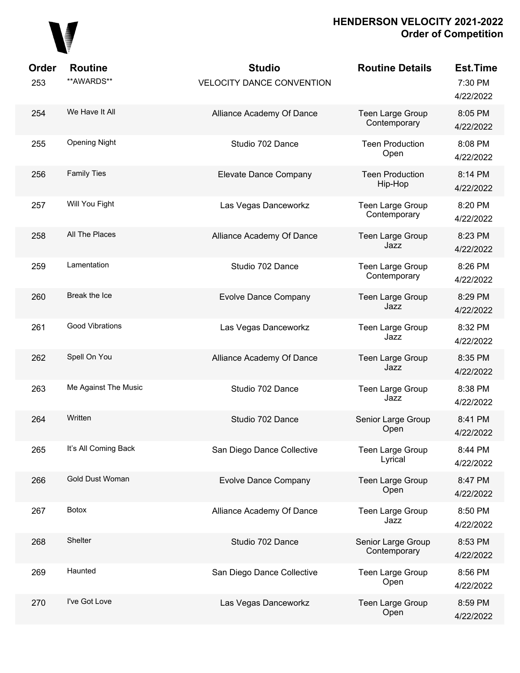

| Order<br>253 | <b>Routine</b><br>**AWARDS** | <b>Studio</b><br><b>VELOCITY DANCE CONVENTION</b> | <b>Routine Details</b>                  | <b>Est.Time</b><br>7:30 PM<br>4/22/2022 |
|--------------|------------------------------|---------------------------------------------------|-----------------------------------------|-----------------------------------------|
| 254          | We Have It All               | Alliance Academy Of Dance                         | <b>Teen Large Group</b><br>Contemporary | 8:05 PM<br>4/22/2022                    |
| 255          | <b>Opening Night</b>         | Studio 702 Dance                                  | <b>Teen Production</b><br>Open          | 8:08 PM<br>4/22/2022                    |
| 256          | <b>Family Ties</b>           | Elevate Dance Company                             | <b>Teen Production</b><br>Hip-Hop       | 8:14 PM<br>4/22/2022                    |
| 257          | Will You Fight               | Las Vegas Danceworkz                              | <b>Teen Large Group</b><br>Contemporary | 8:20 PM<br>4/22/2022                    |
| 258          | All The Places               | Alliance Academy Of Dance                         | Teen Large Group<br>Jazz                | 8:23 PM<br>4/22/2022                    |
| 259          | Lamentation                  | Studio 702 Dance                                  | <b>Teen Large Group</b><br>Contemporary | 8:26 PM<br>4/22/2022                    |
| 260          | Break the Ice                | <b>Evolve Dance Company</b>                       | <b>Teen Large Group</b><br>Jazz         | 8:29 PM<br>4/22/2022                    |
| 261          | <b>Good Vibrations</b>       | Las Vegas Danceworkz                              | Teen Large Group<br>Jazz                | 8:32 PM<br>4/22/2022                    |
| 262          | Spell On You                 | Alliance Academy Of Dance                         | Teen Large Group<br>Jazz                | 8:35 PM<br>4/22/2022                    |
| 263          | Me Against The Music         | Studio 702 Dance                                  | Teen Large Group<br>Jazz                | 8:38 PM<br>4/22/2022                    |
| 264          | Written                      | Studio 702 Dance                                  | Senior Large Group<br>Open              | 8:41 PM<br>4/22/2022                    |
| 265          | It's All Coming Back         | San Diego Dance Collective                        | <b>Teen Large Group</b><br>Lyrical      | 8:44 PM<br>4/22/2022                    |
| 266          | Gold Dust Woman              | <b>Evolve Dance Company</b>                       | Teen Large Group<br>Open                | 8:47 PM<br>4/22/2022                    |
| 267          | <b>Botox</b>                 | Alliance Academy Of Dance                         | Teen Large Group<br>Jazz                | 8:50 PM<br>4/22/2022                    |
| 268          | Shelter                      | Studio 702 Dance                                  | Senior Large Group<br>Contemporary      | 8:53 PM<br>4/22/2022                    |
| 269          | Haunted                      | San Diego Dance Collective                        | Teen Large Group<br>Open                | 8:56 PM<br>4/22/2022                    |
| 270          | I've Got Love                | Las Vegas Danceworkz                              | <b>Teen Large Group</b><br>Open         | 8:59 PM<br>4/22/2022                    |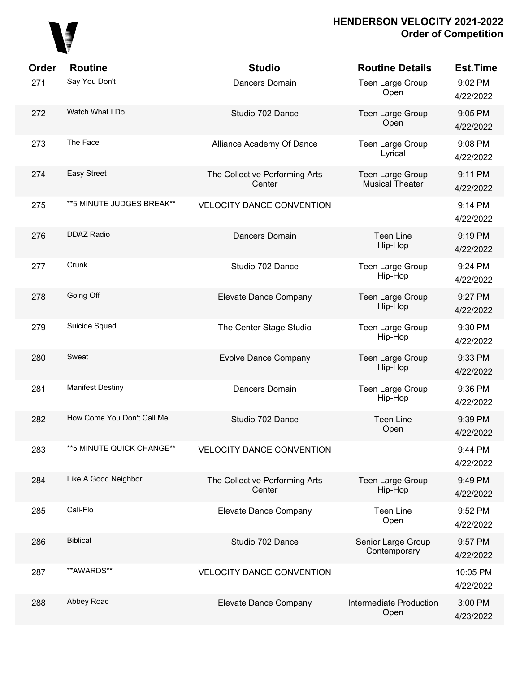

| Order | <b>Routine</b>             | <b>Studio</b>                            | <b>Routine Details</b>                     | <b>Est.Time</b>       |
|-------|----------------------------|------------------------------------------|--------------------------------------------|-----------------------|
| 271   | Say You Don't              | Dancers Domain                           | Teen Large Group<br>Open                   | 9:02 PM<br>4/22/2022  |
| 272   | Watch What I Do            | Studio 702 Dance                         | Teen Large Group<br>Open                   | 9:05 PM<br>4/22/2022  |
| 273   | The Face                   | Alliance Academy Of Dance                | Teen Large Group<br>Lyrical                | 9:08 PM<br>4/22/2022  |
| 274   | Easy Street                | The Collective Performing Arts<br>Center | Teen Large Group<br><b>Musical Theater</b> | 9:11 PM<br>4/22/2022  |
| 275   | ** 5 MINUTE JUDGES BREAK** | <b>VELOCITY DANCE CONVENTION</b>         |                                            | 9:14 PM<br>4/22/2022  |
| 276   | <b>DDAZ Radio</b>          | Dancers Domain                           | <b>Teen Line</b><br>Hip-Hop                | 9:19 PM<br>4/22/2022  |
| 277   | Crunk                      | Studio 702 Dance                         | Teen Large Group<br>Hip-Hop                | 9:24 PM<br>4/22/2022  |
| 278   | Going Off                  | Elevate Dance Company                    | Teen Large Group<br>Hip-Hop                | 9:27 PM<br>4/22/2022  |
| 279   | Suicide Squad              | The Center Stage Studio                  | Teen Large Group<br>Hip-Hop                | 9:30 PM<br>4/22/2022  |
| 280   | Sweat                      | <b>Evolve Dance Company</b>              | Teen Large Group<br>Hip-Hop                | 9:33 PM<br>4/22/2022  |
| 281   | <b>Manifest Destiny</b>    | Dancers Domain                           | Teen Large Group<br>Hip-Hop                | 9:36 PM<br>4/22/2022  |
| 282   | How Come You Don't Call Me | Studio 702 Dance                         | <b>Teen Line</b><br>Open                   | 9:39 PM<br>4/22/2022  |
| 283   | **5 MINUTE QUICK CHANGE**  | <b>VELOCITY DANCE CONVENTION</b>         |                                            | 9:44 PM<br>4/22/2022  |
| 284   | Like A Good Neighbor       | The Collective Performing Arts<br>Center | Teen Large Group<br>Hip-Hop                | 9:49 PM<br>4/22/2022  |
| 285   | Cali-Flo                   | Elevate Dance Company                    | <b>Teen Line</b><br>Open                   | 9:52 PM<br>4/22/2022  |
| 286   | <b>Biblical</b>            | Studio 702 Dance                         | Senior Large Group<br>Contemporary         | 9:57 PM<br>4/22/2022  |
| 287   | **AWARDS**                 | <b>VELOCITY DANCE CONVENTION</b>         |                                            | 10:05 PM<br>4/22/2022 |
| 288   | Abbey Road                 | Elevate Dance Company                    | Intermediate Production<br>Open            | 3:00 PM<br>4/23/2022  |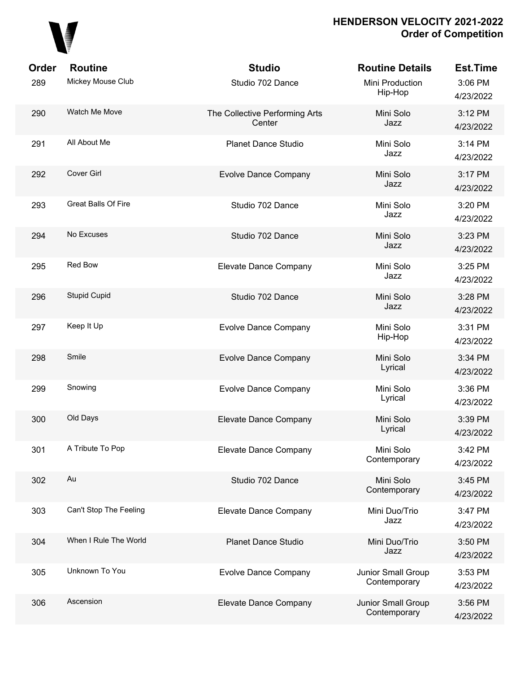

| Order | <b>Routine</b>             | <b>Studio</b>                            | <b>Routine Details</b>             | <b>Est.Time</b>      |
|-------|----------------------------|------------------------------------------|------------------------------------|----------------------|
| 289   | Mickey Mouse Club          | Studio 702 Dance                         | Mini Production<br>Hip-Hop         | 3:06 PM<br>4/23/2022 |
| 290   | Watch Me Move              | The Collective Performing Arts<br>Center | Mini Solo<br>Jazz                  | 3:12 PM<br>4/23/2022 |
| 291   | All About Me               | <b>Planet Dance Studio</b>               | Mini Solo<br>Jazz                  | 3:14 PM<br>4/23/2022 |
| 292   | Cover Girl                 | <b>Evolve Dance Company</b>              | Mini Solo<br>Jazz                  | 3:17 PM<br>4/23/2022 |
| 293   | <b>Great Balls Of Fire</b> | Studio 702 Dance                         | Mini Solo<br>Jazz                  | 3:20 PM<br>4/23/2022 |
| 294   | No Excuses                 | Studio 702 Dance                         | Mini Solo<br>Jazz                  | 3:23 PM<br>4/23/2022 |
| 295   | Red Bow                    | Elevate Dance Company                    | Mini Solo<br>Jazz                  | 3:25 PM<br>4/23/2022 |
| 296   | <b>Stupid Cupid</b>        | Studio 702 Dance                         | Mini Solo<br>Jazz                  | 3:28 PM<br>4/23/2022 |
| 297   | Keep It Up                 | <b>Evolve Dance Company</b>              | Mini Solo<br>Hip-Hop               | 3:31 PM<br>4/23/2022 |
| 298   | Smile                      | <b>Evolve Dance Company</b>              | Mini Solo<br>Lyrical               | 3:34 PM<br>4/23/2022 |
| 299   | Snowing                    | <b>Evolve Dance Company</b>              | Mini Solo<br>Lyrical               | 3:36 PM<br>4/23/2022 |
| 300   | Old Days                   | Elevate Dance Company                    | Mini Solo<br>Lyrical               | 3:39 PM<br>4/23/2022 |
| 301   | A Tribute To Pop           | Elevate Dance Company                    | Mini Solo<br>Contemporary          | 3:42 PM<br>4/23/2022 |
| 302   | Au                         | Studio 702 Dance                         | Mini Solo<br>Contemporary          | 3:45 PM<br>4/23/2022 |
| 303   | Can't Stop The Feeling     | Elevate Dance Company                    | Mini Duo/Trio<br>Jazz              | 3:47 PM<br>4/23/2022 |
| 304   | When I Rule The World      | <b>Planet Dance Studio</b>               | Mini Duo/Trio<br>Jazz              | 3:50 PM<br>4/23/2022 |
| 305   | Unknown To You             | <b>Evolve Dance Company</b>              | Junior Small Group<br>Contemporary | 3:53 PM<br>4/23/2022 |
| 306   | Ascension                  | Elevate Dance Company                    | Junior Small Group<br>Contemporary | 3:56 PM<br>4/23/2022 |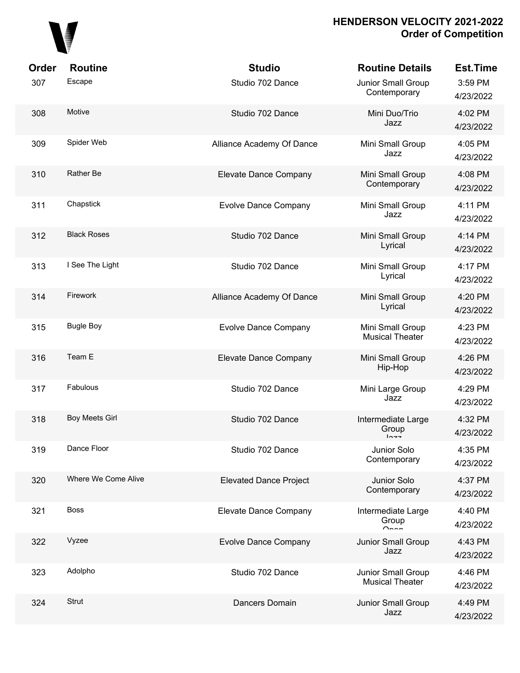

| Order | <b>Routine</b>        | <b>Studio</b>                 | <b>Routine Details</b>                       | <b>Est.Time</b>      |
|-------|-----------------------|-------------------------------|----------------------------------------------|----------------------|
| 307   | Escape                | Studio 702 Dance              | Junior Small Group<br>Contemporary           | 3:59 PM<br>4/23/2022 |
| 308   | Motive                | Studio 702 Dance              | Mini Duo/Trio<br>Jazz                        | 4:02 PM<br>4/23/2022 |
| 309   | Spider Web            | Alliance Academy Of Dance     | Mini Small Group<br>Jazz                     | 4:05 PM<br>4/23/2022 |
| 310   | Rather Be             | Elevate Dance Company         | Mini Small Group<br>Contemporary             | 4:08 PM<br>4/23/2022 |
| 311   | Chapstick             | <b>Evolve Dance Company</b>   | Mini Small Group<br>Jazz                     | 4:11 PM<br>4/23/2022 |
| 312   | <b>Black Roses</b>    | Studio 702 Dance              | Mini Small Group<br>Lyrical                  | 4:14 PM<br>4/23/2022 |
| 313   | I See The Light       | Studio 702 Dance              | Mini Small Group<br>Lyrical                  | 4:17 PM<br>4/23/2022 |
| 314   | Firework              | Alliance Academy Of Dance     | Mini Small Group<br>Lyrical                  | 4:20 PM<br>4/23/2022 |
| 315   | <b>Bugle Boy</b>      | <b>Evolve Dance Company</b>   | Mini Small Group<br><b>Musical Theater</b>   | 4:23 PM<br>4/23/2022 |
| 316   | Team E                | Elevate Dance Company         | Mini Small Group<br>Hip-Hop                  | 4:26 PM<br>4/23/2022 |
| 317   | Fabulous              | Studio 702 Dance              | Mini Large Group<br>Jazz                     | 4:29 PM<br>4/23/2022 |
| 318   | <b>Boy Meets Girl</b> | Studio 702 Dance              | Intermediate Large<br>Group<br>トヘーー          | 4:32 PM<br>4/23/2022 |
| 319   | Dance Floor           | Studio 702 Dance              | Junior Solo<br>Contemporary                  | 4:35 PM<br>4/23/2022 |
| 320   | Where We Come Alive   | <b>Elevated Dance Project</b> | Junior Solo<br>Contemporary                  | 4:37 PM<br>4/23/2022 |
| 321   | <b>Boss</b>           | Elevate Dance Company         | Intermediate Large<br>Group                  | 4:40 PM<br>4/23/2022 |
| 322   | Vyzee                 | <b>Evolve Dance Company</b>   | Junior Small Group<br>Jazz                   | 4:43 PM<br>4/23/2022 |
| 323   | Adolpho               | Studio 702 Dance              | Junior Small Group<br><b>Musical Theater</b> | 4:46 PM<br>4/23/2022 |
| 324   | Strut                 | Dancers Domain                | Junior Small Group<br>Jazz                   | 4:49 PM<br>4/23/2022 |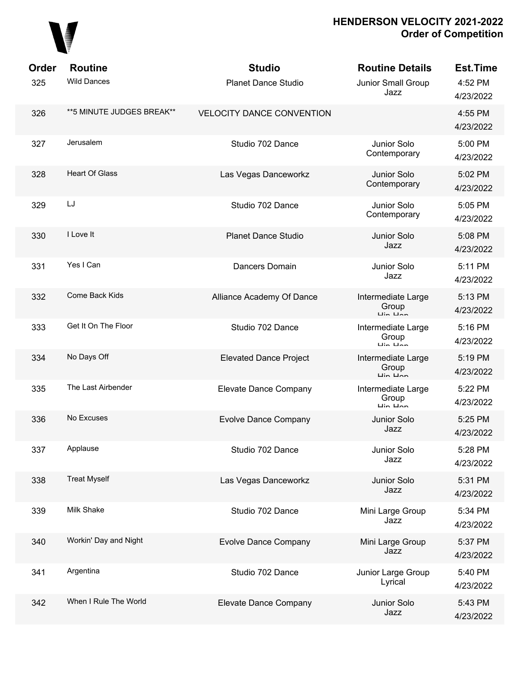

| <b>Order</b> | <b>Routine</b>            | <b>Studio</b>                    | <b>Routine Details</b>                                             | <b>Est.Time</b>      |
|--------------|---------------------------|----------------------------------|--------------------------------------------------------------------|----------------------|
| 325          | <b>Wild Dances</b>        | <b>Planet Dance Studio</b>       | Junior Small Group<br>Jazz                                         | 4:52 PM<br>4/23/2022 |
| 326          | **5 MINUTE JUDGES BREAK** | <b>VELOCITY DANCE CONVENTION</b> |                                                                    | 4:55 PM<br>4/23/2022 |
| 327          | Jerusalem                 | Studio 702 Dance                 | Junior Solo<br>Contemporary                                        | 5:00 PM<br>4/23/2022 |
| 328          | <b>Heart Of Glass</b>     | Las Vegas Danceworkz             | Junior Solo<br>Contemporary                                        | 5:02 PM<br>4/23/2022 |
| 329          | LJ                        | Studio 702 Dance                 | Junior Solo<br>Contemporary                                        | 5:05 PM<br>4/23/2022 |
| 330          | I Love It                 | <b>Planet Dance Studio</b>       | Junior Solo<br>Jazz                                                | 5:08 PM<br>4/23/2022 |
| 331          | Yes I Can                 | Dancers Domain                   | Junior Solo<br>Jazz                                                | 5:11 PM<br>4/23/2022 |
| 332          | Come Back Kids            | Alliance Academy Of Dance        | Intermediate Large<br>Group<br>$\overline{L}$ in $\overline{L}$ an | 5:13 PM<br>4/23/2022 |
| 333          | Get It On The Floor       | Studio 702 Dance                 | Intermediate Large<br>Group<br>$\overline{u}$ in $\overline{u}$ nn | 5:16 PM<br>4/23/2022 |
| 334          | No Days Off               | <b>Elevated Dance Project</b>    | Intermediate Large<br>Group<br>$\overline{L}$ in $\overline{L}$ an | 5:19 PM<br>4/23/2022 |
| 335          | The Last Airbender        | Elevate Dance Company            | Intermediate Large<br>Group<br>$\overline{L}$ in $\overline{L}$ an | 5:22 PM<br>4/23/2022 |
| 336          | No Excuses                | <b>Evolve Dance Company</b>      | Junior Solo<br>Jazz                                                | 5:25 PM<br>4/23/2022 |
| 337          | Applause                  | Studio 702 Dance                 | Junior Solo<br>Jazz                                                | 5:28 PM<br>4/23/2022 |
| 338          | <b>Treat Myself</b>       | Las Vegas Danceworkz             | Junior Solo<br>Jazz                                                | 5:31 PM<br>4/23/2022 |
| 339          | Milk Shake                | Studio 702 Dance                 | Mini Large Group<br>Jazz                                           | 5:34 PM<br>4/23/2022 |
| 340          | Workin' Day and Night     | <b>Evolve Dance Company</b>      | Mini Large Group<br>Jazz                                           | 5:37 PM<br>4/23/2022 |
| 341          | Argentina                 | Studio 702 Dance                 | Junior Large Group<br>Lyrical                                      | 5:40 PM<br>4/23/2022 |
| 342          | When I Rule The World     | Elevate Dance Company            | Junior Solo<br>Jazz                                                | 5:43 PM<br>4/23/2022 |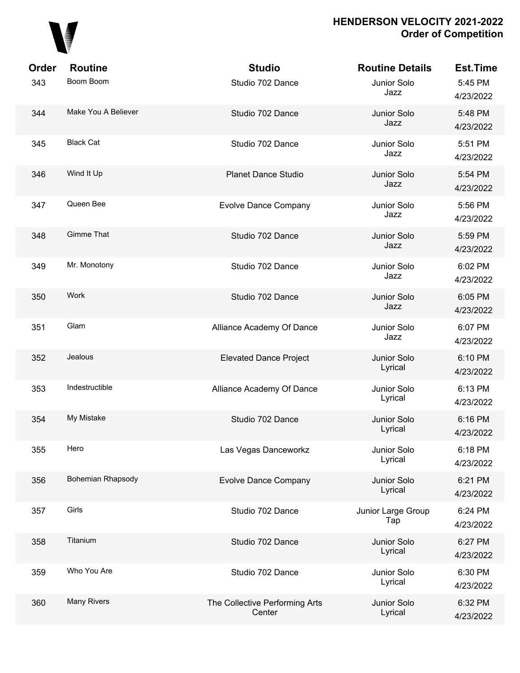

| Order | <b>Routine</b>           | <b>Studio</b>                            | <b>Routine Details</b>    | <b>Est.Time</b>      |
|-------|--------------------------|------------------------------------------|---------------------------|----------------------|
| 343   | Boom Boom                | Studio 702 Dance                         | Junior Solo<br>Jazz       | 5:45 PM<br>4/23/2022 |
| 344   | Make You A Believer      | Studio 702 Dance                         | Junior Solo<br>Jazz       | 5:48 PM<br>4/23/2022 |
| 345   | <b>Black Cat</b>         | Studio 702 Dance                         | Junior Solo<br>Jazz       | 5:51 PM<br>4/23/2022 |
| 346   | Wind It Up               | <b>Planet Dance Studio</b>               | Junior Solo<br>Jazz       | 5:54 PM<br>4/23/2022 |
| 347   | Queen Bee                | <b>Evolve Dance Company</b>              | Junior Solo<br>Jazz       | 5:56 PM<br>4/23/2022 |
| 348   | <b>Gimme That</b>        | Studio 702 Dance                         | Junior Solo<br>Jazz       | 5:59 PM<br>4/23/2022 |
| 349   | Mr. Monotony             | Studio 702 Dance                         | Junior Solo<br>Jazz       | 6:02 PM<br>4/23/2022 |
| 350   | Work                     | Studio 702 Dance                         | Junior Solo<br>Jazz       | 6:05 PM<br>4/23/2022 |
| 351   | Glam                     | Alliance Academy Of Dance                | Junior Solo<br>Jazz       | 6:07 PM<br>4/23/2022 |
| 352   | Jealous                  | <b>Elevated Dance Project</b>            | Junior Solo<br>Lyrical    | 6:10 PM<br>4/23/2022 |
| 353   | Indestructible           | Alliance Academy Of Dance                | Junior Solo<br>Lyrical    | 6:13 PM<br>4/23/2022 |
| 354   | My Mistake               | Studio 702 Dance                         | Junior Solo<br>Lyrical    | 6:16 PM<br>4/23/2022 |
| 355   | Hero                     | Las Vegas Danceworkz                     | Junior Solo<br>Lyrical    | 6:18 PM<br>4/23/2022 |
| 356   | <b>Bohemian Rhapsody</b> | <b>Evolve Dance Company</b>              | Junior Solo<br>Lyrical    | 6:21 PM<br>4/23/2022 |
| 357   | Girls                    | Studio 702 Dance                         | Junior Large Group<br>Tap | 6:24 PM<br>4/23/2022 |
| 358   | Titanium                 | Studio 702 Dance                         | Junior Solo<br>Lyrical    | 6:27 PM<br>4/23/2022 |
| 359   | Who You Are              | Studio 702 Dance                         | Junior Solo<br>Lyrical    | 6:30 PM<br>4/23/2022 |
| 360   | Many Rivers              | The Collective Performing Arts<br>Center | Junior Solo<br>Lyrical    | 6:32 PM<br>4/23/2022 |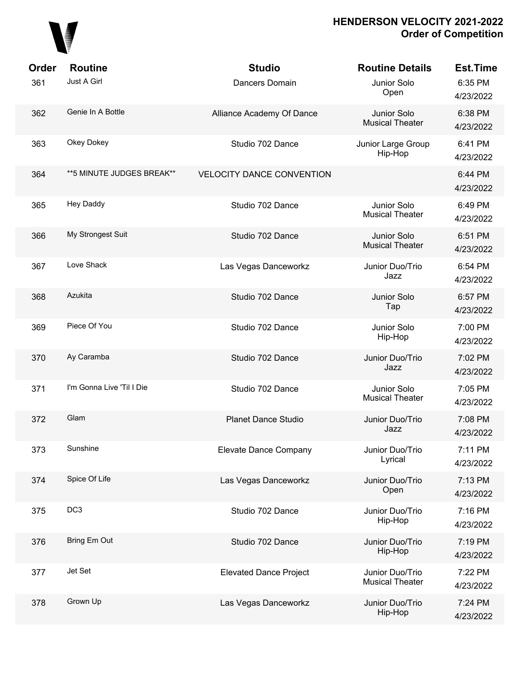

| Order<br>361 | <b>Routine</b><br>Just A Girl | <b>Studio</b><br>Dancers Domain  | <b>Routine Details</b><br>Junior Solo<br>Open | <b>Est.Time</b><br>6:35 PM<br>4/23/2022 |
|--------------|-------------------------------|----------------------------------|-----------------------------------------------|-----------------------------------------|
| 362          | Genie In A Bottle             | Alliance Academy Of Dance        | Junior Solo<br><b>Musical Theater</b>         | 6:38 PM<br>4/23/2022                    |
| 363          | Okey Dokey                    | Studio 702 Dance                 | Junior Large Group<br>Hip-Hop                 | 6:41 PM<br>4/23/2022                    |
| 364          | ** 5 MINUTE JUDGES BREAK**    | <b>VELOCITY DANCE CONVENTION</b> |                                               | 6:44 PM<br>4/23/2022                    |
| 365          | <b>Hey Daddy</b>              | Studio 702 Dance                 | Junior Solo<br><b>Musical Theater</b>         | 6:49 PM<br>4/23/2022                    |
| 366          | My Strongest Suit             | Studio 702 Dance                 | Junior Solo<br><b>Musical Theater</b>         | 6:51 PM<br>4/23/2022                    |
| 367          | Love Shack                    | Las Vegas Danceworkz             | Junior Duo/Trio<br>Jazz                       | 6:54 PM<br>4/23/2022                    |
| 368          | Azukita                       | Studio 702 Dance                 | Junior Solo<br>Tap                            | 6:57 PM<br>4/23/2022                    |
| 369          | Piece Of You                  | Studio 702 Dance                 | Junior Solo<br>Hip-Hop                        | 7:00 PM<br>4/23/2022                    |
| 370          | Ay Caramba                    | Studio 702 Dance                 | Junior Duo/Trio<br>Jazz                       | 7:02 PM<br>4/23/2022                    |
| 371          | I'm Gonna Live 'Til I Die     | Studio 702 Dance                 | Junior Solo<br><b>Musical Theater</b>         | 7:05 PM<br>4/23/2022                    |
| 372          | Glam                          | <b>Planet Dance Studio</b>       | Junior Duo/Trio<br>Jazz                       | 7:08 PM<br>4/23/2022                    |
| 373          | Sunshine                      | Elevate Dance Company            | Junior Duo/Trio<br>Lyrical                    | 7:11 PM<br>4/23/2022                    |
| 374          | Spice Of Life                 | Las Vegas Danceworkz             | Junior Duo/Trio<br>Open                       | 7:13 PM<br>4/23/2022                    |
| 375          | DC <sub>3</sub>               | Studio 702 Dance                 | Junior Duo/Trio<br>Hip-Hop                    | 7:16 PM<br>4/23/2022                    |
| 376          | Bring Em Out                  | Studio 702 Dance                 | Junior Duo/Trio<br>Hip-Hop                    | 7:19 PM<br>4/23/2022                    |
| 377          | Jet Set                       | <b>Elevated Dance Project</b>    | Junior Duo/Trio<br><b>Musical Theater</b>     | 7:22 PM<br>4/23/2022                    |
| 378          | Grown Up                      | Las Vegas Danceworkz             | Junior Duo/Trio<br>Hip-Hop                    | 7:24 PM<br>4/23/2022                    |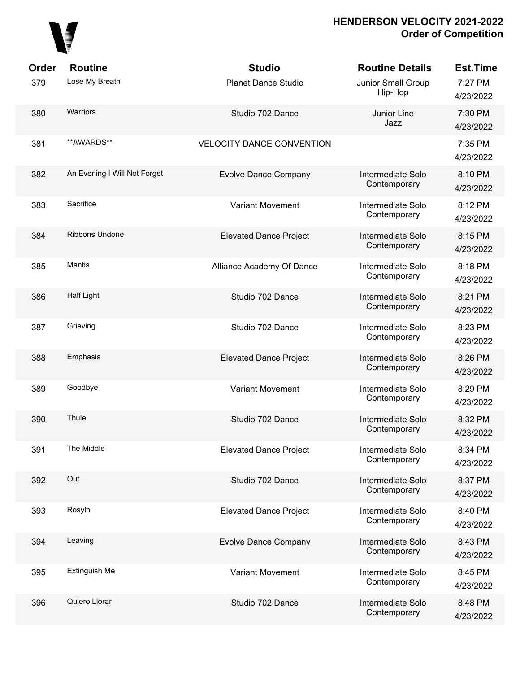

| Order | <b>Routine</b>               | <b>Studio</b>                    | <b>Routine Details</b>            | <b>Est.Time</b>      |
|-------|------------------------------|----------------------------------|-----------------------------------|----------------------|
| 379   | Lose My Breath               | <b>Planet Dance Studio</b>       | Junior Small Group<br>Hip-Hop     | 7:27 PM<br>4/23/2022 |
| 380   | Warriors                     | Studio 702 Dance                 | Junior Line<br>Jazz               | 7:30 PM<br>4/23/2022 |
| 381   | **AWARDS**                   | <b>VELOCITY DANCE CONVENTION</b> |                                   | 7:35 PM<br>4/23/2022 |
| 382   | An Evening I Will Not Forget | <b>Evolve Dance Company</b>      | Intermediate Solo<br>Contemporary | 8:10 PM<br>4/23/2022 |
| 383   | Sacrifice                    | <b>Variant Movement</b>          | Intermediate Solo<br>Contemporary | 8:12 PM<br>4/23/2022 |
| 384   | <b>Ribbons Undone</b>        | <b>Elevated Dance Project</b>    | Intermediate Solo<br>Contemporary | 8:15 PM<br>4/23/2022 |
| 385   | <b>Mantis</b>                | Alliance Academy Of Dance        | Intermediate Solo<br>Contemporary | 8:18 PM<br>4/23/2022 |
| 386   | <b>Half Light</b>            | Studio 702 Dance                 | Intermediate Solo<br>Contemporary | 8:21 PM<br>4/23/2022 |
| 387   | Grieving                     | Studio 702 Dance                 | Intermediate Solo<br>Contemporary | 8:23 PM<br>4/23/2022 |
| 388   | Emphasis                     | <b>Elevated Dance Project</b>    | Intermediate Solo<br>Contemporary | 8:26 PM<br>4/23/2022 |
| 389   | Goodbye                      | Variant Movement                 | Intermediate Solo<br>Contemporary | 8:29 PM<br>4/23/2022 |
| 390   | Thule                        | Studio 702 Dance                 | Intermediate Solo<br>Contemporary | 8:32 PM<br>4/23/2022 |
| 391   | The Middle                   | <b>Elevated Dance Project</b>    | Intermediate Solo<br>Contemporary | 8:34 PM<br>4/23/2022 |
| 392   | Out                          | Studio 702 Dance                 | Intermediate Solo<br>Contemporary | 8:37 PM<br>4/23/2022 |
| 393   | Rosyln                       | <b>Elevated Dance Project</b>    | Intermediate Solo<br>Contemporary | 8:40 PM<br>4/23/2022 |
| 394   | Leaving                      | <b>Evolve Dance Company</b>      | Intermediate Solo<br>Contemporary | 8:43 PM<br>4/23/2022 |
| 395   | <b>Extinguish Me</b>         | <b>Variant Movement</b>          | Intermediate Solo<br>Contemporary | 8:45 PM<br>4/23/2022 |
| 396   | Quiero Llorar                | Studio 702 Dance                 | Intermediate Solo<br>Contemporary | 8:48 PM<br>4/23/2022 |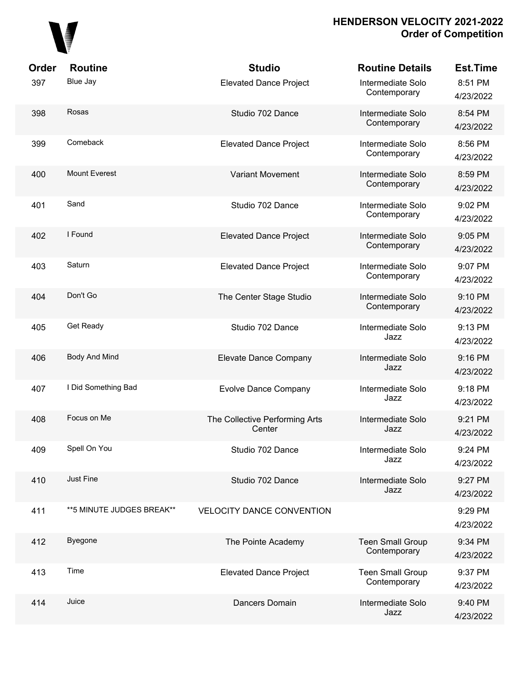

| Order | <b>Routine</b>             | <b>Studio</b>                            | <b>Routine Details</b>                  | <b>Est.Time</b>      |
|-------|----------------------------|------------------------------------------|-----------------------------------------|----------------------|
| 397   | Blue Jay                   | <b>Elevated Dance Project</b>            | Intermediate Solo<br>Contemporary       | 8:51 PM<br>4/23/2022 |
| 398   | Rosas                      | Studio 702 Dance                         | Intermediate Solo<br>Contemporary       | 8:54 PM<br>4/23/2022 |
| 399   | Comeback                   | <b>Elevated Dance Project</b>            | Intermediate Solo<br>Contemporary       | 8:56 PM<br>4/23/2022 |
| 400   | <b>Mount Everest</b>       | <b>Variant Movement</b>                  | Intermediate Solo<br>Contemporary       | 8:59 PM<br>4/23/2022 |
| 401   | Sand                       | Studio 702 Dance                         | Intermediate Solo<br>Contemporary       | 9:02 PM<br>4/23/2022 |
| 402   | I Found                    | <b>Elevated Dance Project</b>            | Intermediate Solo<br>Contemporary       | 9:05 PM<br>4/23/2022 |
| 403   | Saturn                     | <b>Elevated Dance Project</b>            | Intermediate Solo<br>Contemporary       | 9:07 PM<br>4/23/2022 |
| 404   | Don't Go                   | The Center Stage Studio                  | Intermediate Solo<br>Contemporary       | 9:10 PM<br>4/23/2022 |
| 405   | Get Ready                  | Studio 702 Dance                         | Intermediate Solo<br>Jazz               | 9:13 PM<br>4/23/2022 |
| 406   | Body And Mind              | Elevate Dance Company                    | Intermediate Solo<br>Jazz               | 9:16 PM<br>4/23/2022 |
| 407   | I Did Something Bad        | <b>Evolve Dance Company</b>              | Intermediate Solo<br>Jazz               | 9:18 PM<br>4/23/2022 |
| 408   | Focus on Me                | The Collective Performing Arts<br>Center | Intermediate Solo<br>Jazz               | 9:21 PM<br>4/23/2022 |
| 409   | Spell On You               | Studio 702 Dance                         | Intermediate Solo<br>Jazz               | 9:24 PM<br>4/23/2022 |
| 410   | Just Fine                  | Studio 702 Dance                         | Intermediate Solo<br>Jazz               | 9:27 PM<br>4/23/2022 |
| 411   | ** 5 MINUTE JUDGES BREAK** | <b>VELOCITY DANCE CONVENTION</b>         |                                         | 9:29 PM<br>4/23/2022 |
| 412   | Byegone                    | The Pointe Academy                       | <b>Teen Small Group</b><br>Contemporary | 9:34 PM<br>4/23/2022 |
| 413   | Time                       | <b>Elevated Dance Project</b>            | <b>Teen Small Group</b><br>Contemporary | 9:37 PM<br>4/23/2022 |
| 414   | Juice                      | Dancers Domain                           | Intermediate Solo<br>Jazz               | 9:40 PM<br>4/23/2022 |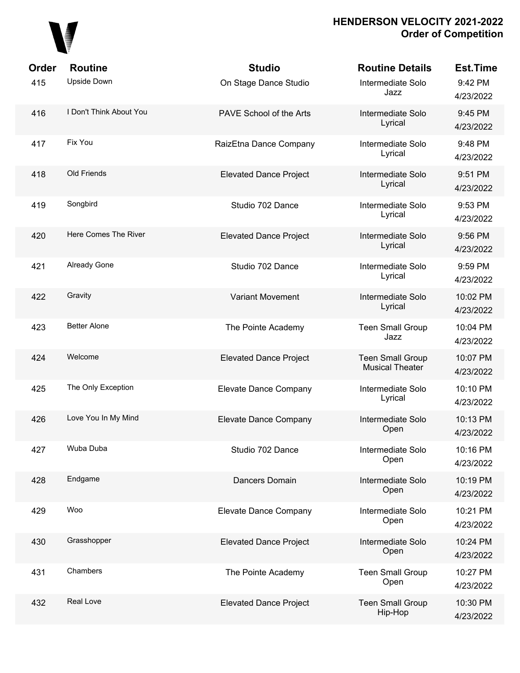

| Order | <b>Routine</b>          | <b>Studio</b>                 | <b>Routine Details</b>                            | <b>Est.Time</b>       |
|-------|-------------------------|-------------------------------|---------------------------------------------------|-----------------------|
| 415   | <b>Upside Down</b>      | On Stage Dance Studio         | Intermediate Solo<br>Jazz                         | 9:42 PM<br>4/23/2022  |
| 416   | I Don't Think About You | PAVE School of the Arts       | Intermediate Solo<br>Lyrical                      | 9:45 PM<br>4/23/2022  |
| 417   | Fix You                 | RaizEtna Dance Company        | Intermediate Solo<br>Lyrical                      | 9:48 PM<br>4/23/2022  |
| 418   | Old Friends             | <b>Elevated Dance Project</b> | Intermediate Solo<br>Lyrical                      | 9:51 PM<br>4/23/2022  |
| 419   | Songbird                | Studio 702 Dance              | Intermediate Solo<br>Lyrical                      | 9:53 PM<br>4/23/2022  |
| 420   | Here Comes The River    | <b>Elevated Dance Project</b> | Intermediate Solo<br>Lyrical                      | 9:56 PM<br>4/23/2022  |
| 421   | <b>Already Gone</b>     | Studio 702 Dance              | Intermediate Solo<br>Lyrical                      | 9:59 PM<br>4/23/2022  |
| 422   | Gravity                 | <b>Variant Movement</b>       | Intermediate Solo<br>Lyrical                      | 10:02 PM<br>4/23/2022 |
| 423   | <b>Better Alone</b>     | The Pointe Academy            | <b>Teen Small Group</b><br>Jazz                   | 10:04 PM<br>4/23/2022 |
| 424   | Welcome                 | <b>Elevated Dance Project</b> | <b>Teen Small Group</b><br><b>Musical Theater</b> | 10:07 PM<br>4/23/2022 |
| 425   | The Only Exception      | Elevate Dance Company         | Intermediate Solo<br>Lyrical                      | 10:10 PM<br>4/23/2022 |
| 426   | Love You In My Mind     | Elevate Dance Company         | Intermediate Solo<br>Open                         | 10:13 PM<br>4/23/2022 |
| 427   | Wuba Duba               | Studio 702 Dance              | Intermediate Solo<br>Open                         | 10:16 PM<br>4/23/2022 |
| 428   | Endgame                 | Dancers Domain                | Intermediate Solo<br>Open                         | 10:19 PM<br>4/23/2022 |
| 429   | Woo                     | Elevate Dance Company         | Intermediate Solo<br>Open                         | 10:21 PM<br>4/23/2022 |
| 430   | Grasshopper             | <b>Elevated Dance Project</b> | Intermediate Solo<br>Open                         | 10:24 PM<br>4/23/2022 |
| 431   | Chambers                | The Pointe Academy            | <b>Teen Small Group</b><br>Open                   | 10:27 PM<br>4/23/2022 |
| 432   | Real Love               | <b>Elevated Dance Project</b> | <b>Teen Small Group</b><br>Hip-Hop                | 10:30 PM<br>4/23/2022 |